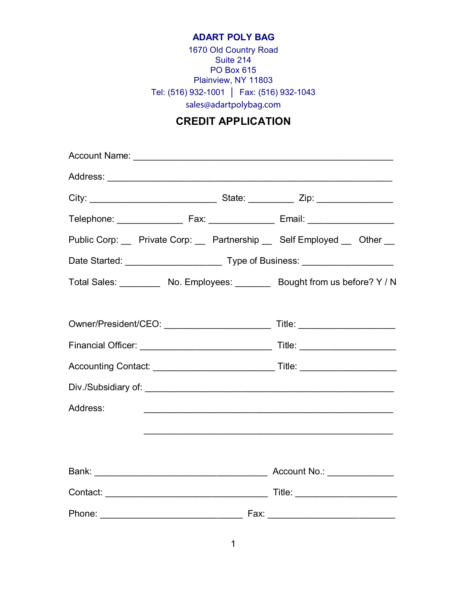## **ADART POLY BAG**

1670 Old Country Road Suite 214 PO Box 615 Plainview, NY 11803 Tel: (516) 932-1001 **│** Fax: (516) 932-1043 sales@adartpolybag.com

## **CREDIT APPLICATION**

|          |  | Public Corp: Private Corp: Partnership Self Employed Cher _                                                           |  |  |  |
|----------|--|-----------------------------------------------------------------------------------------------------------------------|--|--|--|
|          |  |                                                                                                                       |  |  |  |
|          |  | Total Sales: __________ No. Employees: ________ Bought from us before? Y / N                                          |  |  |  |
|          |  |                                                                                                                       |  |  |  |
|          |  |                                                                                                                       |  |  |  |
|          |  |                                                                                                                       |  |  |  |
|          |  |                                                                                                                       |  |  |  |
|          |  |                                                                                                                       |  |  |  |
| Address: |  | <u> 1999 - Johann Harry Harry Harry Harry Harry Harry Harry Harry Harry Harry Harry Harry Harry Harry Harry Harry</u> |  |  |  |
|          |  |                                                                                                                       |  |  |  |
|          |  |                                                                                                                       |  |  |  |
|          |  |                                                                                                                       |  |  |  |
|          |  |                                                                                                                       |  |  |  |
|          |  |                                                                                                                       |  |  |  |